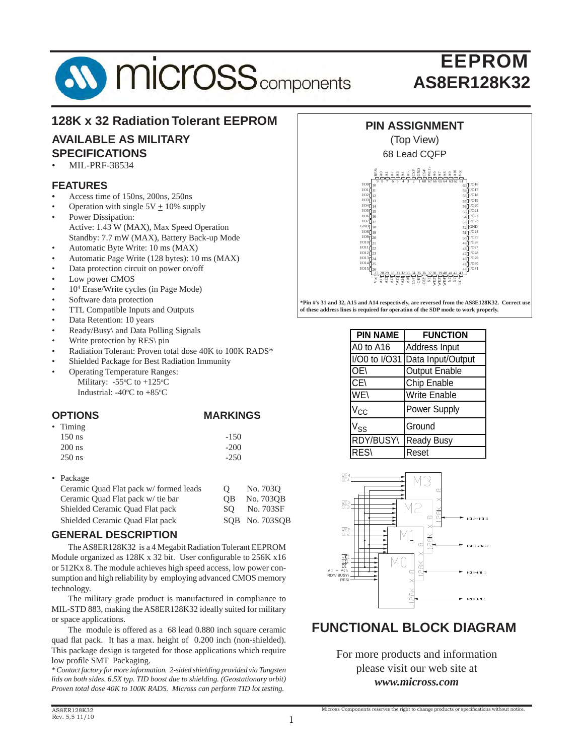

### **128K x 32 Radiation Tolerant EEPROM**

# **AVAILABLE AS MILITARY**

- **SPECIFICATIONS**
- MIL-PRF-38534

### **FEATURES**

- *•* Access time of 150ns, 200ns, 250ns
- Operation with single  $5V + 10\%$  supply
- Power Dissipation: Active: 1.43 W (MAX), Max Speed Operation Standby: 7.7 mW (MAX), Battery Back-up Mode
- Automatic Byte Write: 10 ms (MAX)
- Automatic Page Write (128 bytes): 10 ms (MAX)
- Data protection circuit on power on/off
- Low power CMOS
- 10<sup>4</sup> Erase/Write cycles (in Page Mode)
- Software data protection
- TTL Compatible Inputs and Outputs
- Data Retention: 10 years
- Ready/Busy\ and Data Polling Signals
- Write protection by RES\ pin
- Radiation Tolerant: Proven total dose 40K to 100K RADS\*
- Shielded Package for Best Radiation Immunity
- Operating Temperature Ranges: Military:  $-55^{\circ}$ C to  $+125^{\circ}$ C
- Industrial:  $-40^{\circ}$ C to  $+85^{\circ}$ C

#### **OPTIONS MARKINGS**

| • Timing |        |
|----------|--------|
| $150$ ns | $-150$ |
| $200$ ns | $-200$ |
| $250$ ns | $-250$ |

• Package

| Ceramic Quad Flat pack w/ formed leads | $\lambda$ | No. 7030       |
|----------------------------------------|-----------|----------------|
| Ceramic Quad Flat pack w/ tie bar      | OB.       | No. 7030B      |
| Shielded Ceramic Quad Flat pack        |           | SO No. 703SF   |
| Shielded Ceramic Quad Flat pack        |           | SOB No. 703SOB |
|                                        |           |                |

#### **GENERAL DESCRIPTION**

The AS8ER128K32 is a 4 Megabit Radiation Tolerant EEPROM Module organized as  $128K \times 32$  bit. User configurable to  $256K \times 16$ or 512Kx 8. The module achieves high speed access, low power consumption and high reliability by employing advanced CMOS memory technology.

 The military grade product is manufactured in compliance to MIL-STD 883, making the AS8ER128K32 ideally suited for military or space applications.

 The module is offered as a 68 lead 0.880 inch square ceramic quad flat pack. It has a max. height of 0.200 inch (non-shielded). This package design is targeted for those applications which require low profile SMT Packaging.

*\* Contact factory for more information. 2-sided shielding provided via Tungsten lids on both sides. 6.5X typ. TID boost due to shielding. (Geostationary orbit) Proven total dose 40K to 100K RADS. Micross can perform TID lot testing.*



## (Top View)



**\*Pin #'s 31 and 32, A15 and A14 respectively, are reversed from the AS8E128K32. Correct use of these address lines is required for operation of the SDP mode to work properly.**

| <b>PIN NAME</b>   | <b>FUNCTION</b>     |
|-------------------|---------------------|
| A0 to A16         | Address Input       |
| $I/O0$ to $I/O31$ | Data Input/Output   |
| OE\               | Output Enable       |
| CE\               | Chip Enable         |
| WE                | <b>Write Enable</b> |
| $V_{\rm CC}$      | <b>Power Supply</b> |
| $V_{SS}$          | Ground              |
| RDY/BUSY\         | <b>Ready Busy</b>   |
| <b>RES</b>        | Reset               |



### **FUNCTIONAL BLOCK DIAGRAM**

For more products and information please visit our web site at *www.micross.com*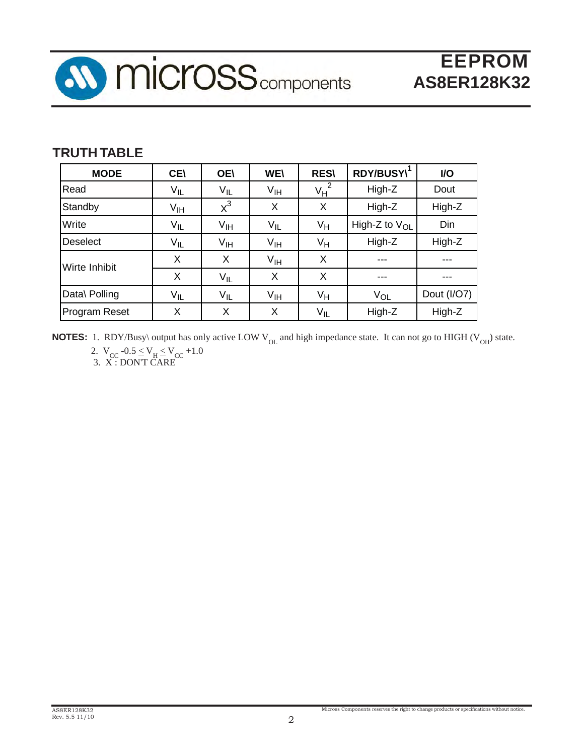

## **TRUTH TABLE**

| <b>MODE</b>     | <b>CEI</b>      | <b>OE\</b>      | <b>WE\</b>      | <b>RES\</b>     | RDY/BUSY\1         | I/O         |
|-----------------|-----------------|-----------------|-----------------|-----------------|--------------------|-------------|
| Read            | $V_{IL}$        | $V_{IL}$        | V <sub>IH</sub> | $V_H$           | High-Z             | Dout        |
| Standby         | V <sub>IH</sub> | $x^3$           | X               | X               | High-Z             | High-Z      |
| Write           | $V_{IL}$        | V <sub>IH</sub> | $V_{IL}$        | Vн              | High-Z to $V_{OL}$ | Din         |
| <b>Deselect</b> | $V_{IL}$        | $V_{\text{IH}}$ | $V_{\text{IH}}$ | Vн              | High-Z             | High-Z      |
| Wirte Inhibit   | X               | X               | $V_{\text{IH}}$ | X               |                    |             |
|                 | X               | $V_{IL}$        | X               | X               | ---                | ---         |
| Data\ Polling   | $V_{IL}$        | $V_{IL}$        | V <sub>IH</sub> | Vн              | $V_{OL}$           | Dout (I/O7) |
| Program Reset   | Χ               | X               | X               | V <sub>IL</sub> | High-Z             | High-Z      |

**NOTES:** 1. RDY/Busy\ output has only active LOW V<sub>OL</sub> and high impedance state. It can not go to HIGH (V<sub>OH</sub>) state. 2.  $V_{CC}$  -0.5  $\leq$   $V_H \leq$   $V_{CC}$  +1.0

3. X : DON'T CARE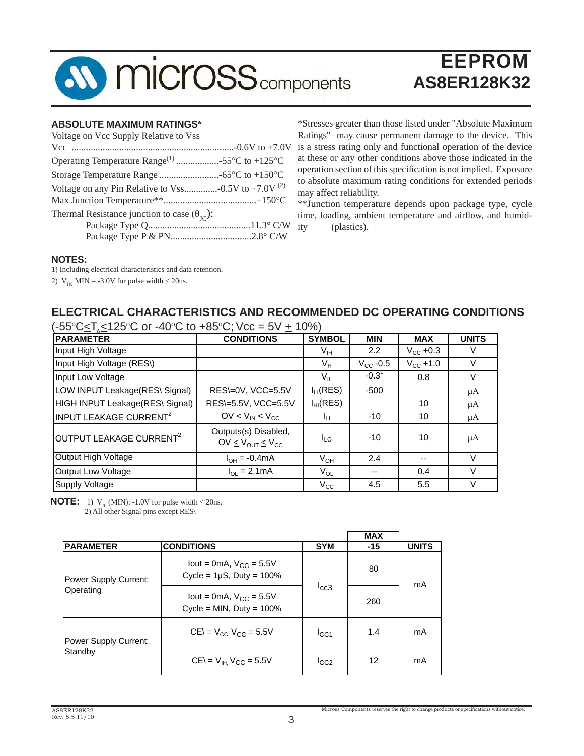

#### **ABSOLUTE MAXIMUM RATINGS\***

| Voltage on Vcc Supply Relative to Vss                        |  |
|--------------------------------------------------------------|--|
|                                                              |  |
| Operating Temperature Range <sup>(1)</sup> 55°C to +125°C    |  |
|                                                              |  |
| Voltage on any Pin Relative to Vss -0.5V to +7.0V $^{(2)}$   |  |
|                                                              |  |
| Thermal Resistance junction to case $(\theta_{\text{IC}})$ : |  |
|                                                              |  |
|                                                              |  |

\*Stresses greater than those listed under "Absolute Maximum Ratings" may cause permanent damage to the device. This is a stress rating only and functional operation of the device at these or any other conditions above those indicated in the operation section of this specification is not implied. Exposure to absolute maximum rating conditions for extended periods may affect reliability.

\*\*Junction temperature depends upon package type, cycle time, loading, ambient temperature and airflow, and humidity (plastics).

#### **NOTES:**

1) Including electrical characteristics and data retention.

2)  $V_{IN}$  MIN = -3.0V for pulse width < 20ns.

### **ELECTRICAL CHARACTERISTICS AND RECOMMENDED DC OPERATING CONDITIONS**

| (-55°C≤T,≤125°C or -40°C to +85°C; Vcc = 5V ± 10%) |                                                       |                 |                   |                      |              |  |
|----------------------------------------------------|-------------------------------------------------------|-----------------|-------------------|----------------------|--------------|--|
| <b>PARAMETER</b>                                   | <b>CONDITIONS</b>                                     | <b>SYMBOL</b>   | <b>MIN</b>        | <b>MAX</b>           | <b>UNITS</b> |  |
| Input High Voltage                                 |                                                       | V <sub>IH</sub> | 2.2               | $V_{\text{CC}}$ +0.3 | V            |  |
| Input High Voltage (RES\)                          |                                                       | $V_H$           | $V_{\rm CC}$ -0.5 | $V_{\rm CC}$ +1.0    | $\vee$       |  |
| Input Low Voltage                                  |                                                       | V <sub>IL</sub> | $-0.31$           | 0.8                  | V            |  |
| LOW INPUT Leakage(RES\ Signal)                     | RES\=0V, VCC=5.5V                                     | $I_{LI}$ (RES)  | $-500$            |                      | μA           |  |
| HIGH INPUT Leakage(RES\ Signal)                    | RES\=5.5V, VCC=5.5V                                   | $I_{HI}(RES)$   |                   | 10                   | μA           |  |
| INPUT LEAKAGE CURRENT <sup>2</sup>                 | OV $\leq$ V <sub>IN</sub> $\leq$ V <sub>CC</sub>      | Iц              | $-10$             | 10                   | μA           |  |
| OUTPUT LEAKAGE CURRENT <sup>2</sup>                | Outputs(s) Disabled,<br>$OV \leq V_{OUT} \leq V_{CC}$ | <b>ILO</b>      | $-10$             | 10                   | μA           |  |
| Output High Voltage                                | $I_{OH} = -0.4mA$                                     | $V_{OH}$        | 2.4               | --                   | $\vee$       |  |
| <b>Output Low Voltage</b>                          | $I_{\Omega} = 2.1 \text{mA}$                          | $V_{OL}$        | --                | 0.4                  | $\vee$       |  |
| <b>Supply Voltage</b>                              |                                                       | $V_{\rm CC}$    | 4.5               | 5.5                  | V            |  |

**NOTE:** 1)  $V_{II}$  (MIN): -1.0V for pulse width < 20ns.

2) All other Signal pins except RES\

|                       |                                                                 |            | <b>MAX</b> |              |  |
|-----------------------|-----------------------------------------------------------------|------------|------------|--------------|--|
| <b>PARAMETER</b>      | <b>CONDITIONS</b>                                               | <b>SYM</b> | $-15$      | <b>UNITS</b> |  |
| Power Supply Current: | lout = 0mA, $V_{CC}$ = 5.5V<br>Cycle = $1\mu$ S, Duty = $100\%$ |            | 80         | mA           |  |
| Operating             | lout = 0mA, $V_{CC}$ = 5.5V<br>Cycle = MIN, Duty = $100\%$      | lcc3       | 260        |              |  |
| Power Supply Current: | $CE = V_{CC}$ $V_{CC} = 5.5V$                                   | ICC1       | 1.4        | mA           |  |
| Standby               | $CE = V_{H}$ , $V_{CC} = 5.5V$                                  | ICC2       | 12         | mA           |  |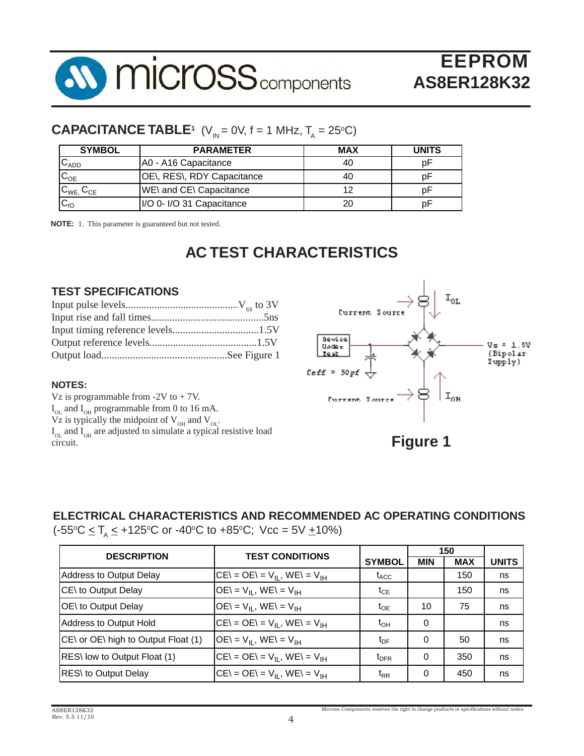

## **CAPACITANCE TABLE<sup>1</sup>** (V<sub>IN</sub> = 0V, f = 1 MHz, T<sub>A</sub> = 25°C)

| <b>SYMBOL</b><br><b>PARAMETER</b> |                            | <b>MAX</b> | <b>UNITS</b> |
|-----------------------------------|----------------------------|------------|--------------|
| $C_{ADD}$                         | A0 - A16 Capacitance       | 40         |              |
| $C_{OE}$                          | OE\, RES\, RDY Capacitance | 40         |              |
| $C_{WE}$ , $C_{CE}$               | WE\ and CE\ Capacitance    |            |              |
| $C_{10}$                          | I/O 0- I/O 31 Capacitance  | 20         | D۲           |

**NOTE:** 1. This parameter is guaranteed but not tested.

# **AC TEST CHARACTERISTICS**

### **TEST SPECIFICATIONS**

### **NOTES:**

Vz is programmable from  $-2V$  to  $+ 7V$ .  $I_{OL}$  and  $I_{OH}$  programmable from 0 to 16 mA. Vz is typically the midpoint of  $V_{OH}$  and  $V_{OL}$ .  $I_{OL}$  and  $I_{OH}$  are adjusted to simulate a typical resistive load circuit. <sup>On</sup> a set of the set of the set of the set of the set of the set of the set of the set of the set of the set of the set of the set of the set of the set of the set of the set of the set of the set of the set of t



### **ELECTRICAL CHARACTERISTICS AND RECOMMENDED AC OPERATING CONDITIONS**

(-55°C ≤ T<sub>A</sub> ≤ +125°C or -40°C to +85°C; Vcc = 5V <u>+</u>10%)

| <b>DESCRIPTION</b>                  | <b>TEST CONDITIONS</b>             |                  |            | 150        |              |
|-------------------------------------|------------------------------------|------------------|------------|------------|--------------|
|                                     |                                    | <b>SYMBOL</b>    | <b>MIN</b> | <b>MAX</b> | <b>UNITS</b> |
| Address to Output Delay             | $CE = OE = V_{II}$ , $WE = V_{IH}$ | $t_{ACC}$        |            | 150        | ns           |
| CE\ to Output Delay                 | $OE = VH$ , WE\ = V <sub>IH</sub>  | $t_{CE}$         |            | 150        | ns           |
| OE\ to Output Delay                 | $OE = VII$ , WE\ = V <sub>IH</sub> | $t_{OE}$         | 10         | 75         | ns           |
| Address to Output Hold              | $CE = OE = V_{II}$ , WE $= V_{IH}$ | $t_{OH}$         | 0          |            | ns           |
| CE\ or OE\ high to Output Float (1) | $OE = V_{II}$ , $WE = V_{IH}$      | $t_{\text{DF}}$  | 0          | 50         | ns           |
| RES\ low to Output Float (1)        | $CE = OE = V_{II}$ , WE $= V_{IH}$ | $t_{\text{DFR}}$ | 0          | 350        | ns           |
| RES\ to Output Delay                | $CE = OE = V_{II}$ , $WE = V_{IH}$ | $t_{RR}$         | 0          | 450        | ns           |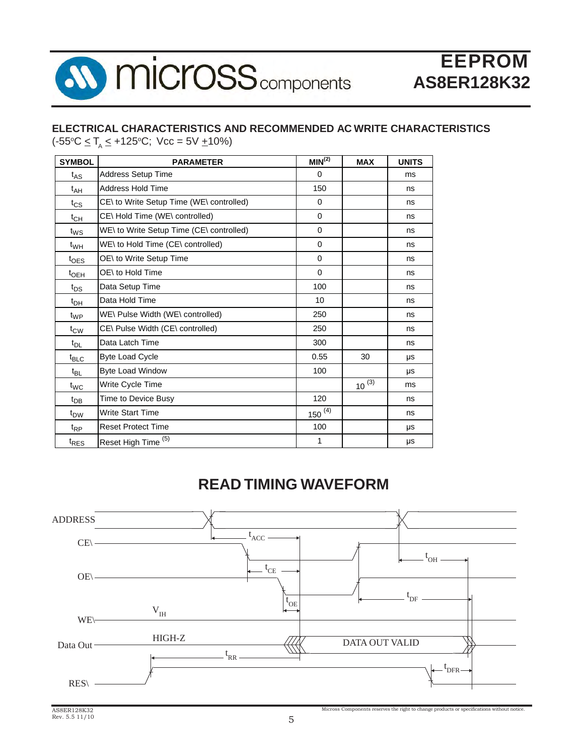

# **ELECTRICAL CHARACTERISTICS AND RECOMMENDED AC WRITE CHARACTERISTICS**

 $(-55^{\circ}C \leq T_{A} \leq +125^{\circ}C;$  Vcc = 5V  $\pm 10\%)$ 

| <b>SYMBOL</b>    | <b>PARAMETER</b>                         | MIN <sup>(2)</sup> | <b>MAX</b> | <b>UNITS</b> |
|------------------|------------------------------------------|--------------------|------------|--------------|
| $t_{AS}$         | <b>Address Setup Time</b>                | 0                  |            | ms           |
| $t_{AH}$         | Address Hold Time                        | 150                |            | ns           |
| $t_{\text{CS}}$  | CE\ to Write Setup Time (WE\ controlled) | $\Omega$           |            | ns           |
| $t_{CH}$         | CE\Hold Time (WE\ controlled)            | $\mathbf 0$        |            | ns           |
| $t_{WS}$         | WE\ to Write Setup Time (CE\ controlled) | 0                  |            | ns           |
| $t_{WH}$         | WE\ to Hold Time (CE\ controlled)        | $\mathbf 0$        |            | ns           |
| $t_{\text{OES}}$ | OE\ to Write Setup Time                  | 0                  |            | ns           |
| $t_{\rm OEH}$    | OE\ to Hold Time                         | $\mathbf 0$        |            | ns           |
| $t_{DS}$         | Data Setup Time                          | 100                |            | ns           |
| $t_{DH}$         | Data Hold Time                           | 10                 |            | ns           |
| $t_{WP}$         | WE\ Pulse Width (WE\ controlled)         | 250                |            | ns           |
| $t_{\text{CW}}$  | CE\ Pulse Width (CE\ controlled)         | 250                |            | ns           |
| $t_{DL}$         | Data Latch Time                          | 300                |            | ns           |
| $t_{\text{BLC}}$ | <b>Byte Load Cycle</b>                   | 0.55               | 30         | μs           |
| $t_{BL}$         | <b>Byte Load Window</b>                  | 100                |            | μs           |
| $t_{WC}$         | Write Cycle Time                         |                    | $10^{(3)}$ | ms           |
| $t_{DB}$         | Time to Device Busy                      | 120                |            | ns           |
| $t_{DW}$         | <b>Write Start Time</b>                  | $150^{(4)}$        |            | ns           |
| $t_{RP}$         | <b>Reset Protect Time</b>                | 100                |            | μs           |
| t <sub>RES</sub> | Reset High Time <sup>(5)</sup>           | 1                  |            | μs           |

# **READ TIMING WAVEFORM**

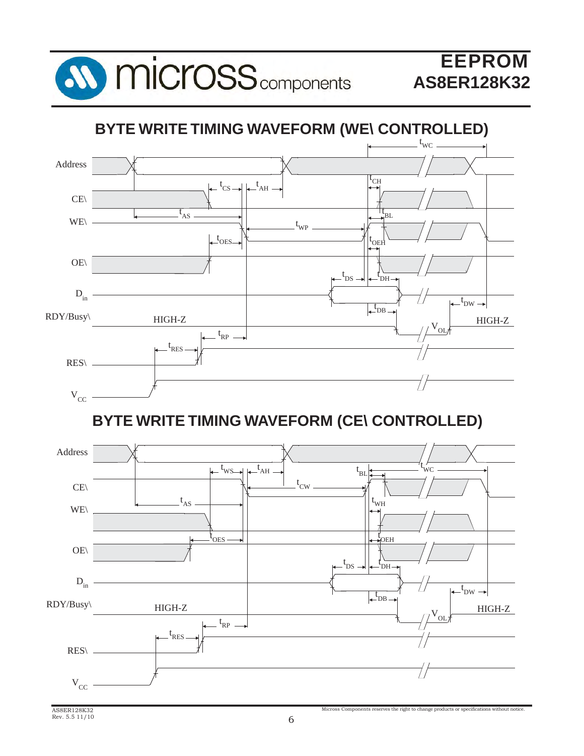

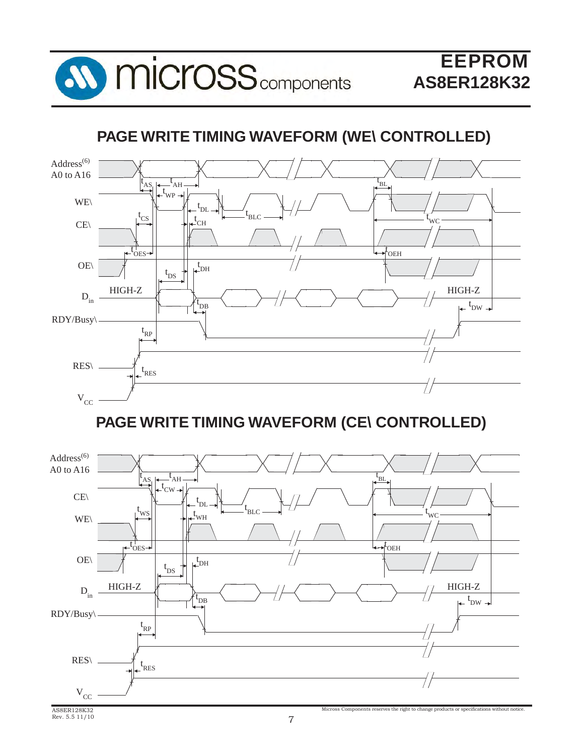

# **PAGE WRITE TIMING WAVEFORM (WE\ CONTROLLED)**



**PAGE WRITE TIMING WAVEFORM (CE\ CONTROLLED)**

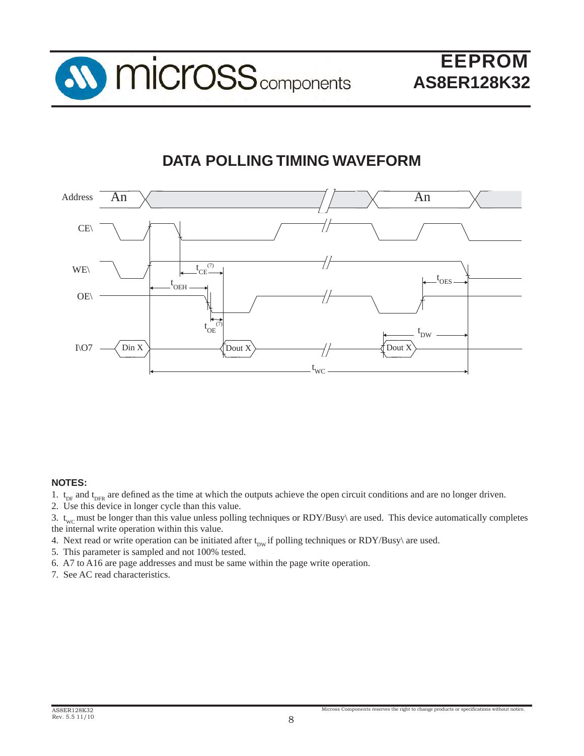

# **DATA POLLING TIMING WAVEFORM**



#### **NOTES:**

- 1.  $t_{DF}$  and  $t_{DFR}$  are defined as the time at which the outputs achieve the open circuit conditions and are no longer driven.
- 2. Use this device in longer cycle than this value.

3.  $t_{\text{wc}}$  must be longer than this value unless polling techniques or RDY/Busy\ are used. This device automatically completes the internal write operation within this value.

- 4. Next read or write operation can be initiated after  $t_{\text{DW}}$  if polling techniques or RDY/Busy\ are used.
- 5. This parameter is sampled and not 100% tested.
- 6. A7 to A16 are page addresses and must be same within the page write operation.
- 7. See AC read characteristics.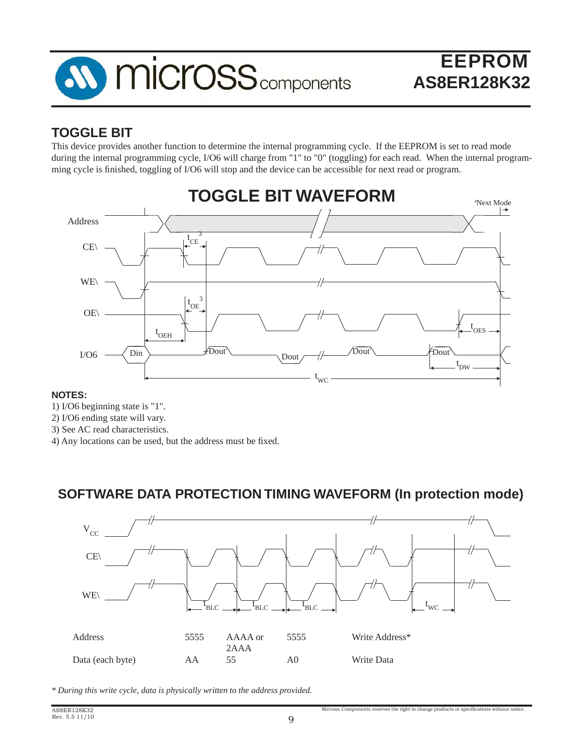

# **TOGGLE BIT**

This device provides another function to determine the internal programming cycle. If the EEPROM is set to read mode during the internal programming cycle, I/O6 will charge from "1" to "0" (toggling) for each read. When the internal programming cycle is finished, toggling of I/O6 will stop and the device can be accessible for next read or program.



### **NOTES:**

- 1) I/O6 beginning state is "1".
- 2) I/O6 ending state will vary.
- 3) See AC read characteristics.
- 4) Any locations can be used, but the address must be fixed.

### **SOFTWARE DATA PROTECTION TIMING WAVEFORM (In protection mode)**



*\* During this write cycle, data is physically written to the address provided.*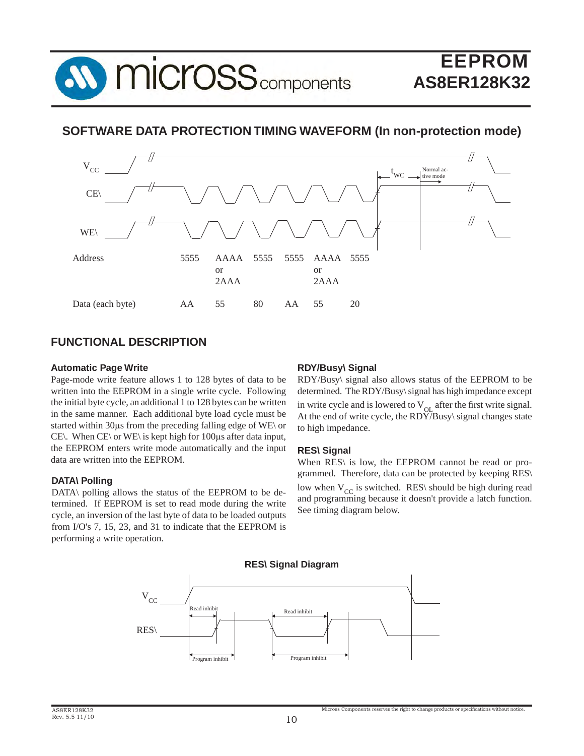

### **SOFTWARE DATA PROTECTION TIMING WAVEFORM (In non-protection mode)**



### **FUNCTIONAL DESCRIPTION**

#### **Automatic Page Write**

Page-mode write feature allows 1 to 128 bytes of data to be written into the EEPROM in a single write cycle. Following the initial byte cycle, an additional 1 to 128 bytes can be written in the same manner. Each additional byte load cycle must be started within 30μs from the preceding falling edge of WE\ or CE\. When CE\ or WE\ is kept high for 100μs after data input, the EEPROM enters write mode automatically and the input data are written into the EEPROM.

#### **DATA\ Polling**

DATA\ polling allows the status of the EEPROM to be determined. If EEPROM is set to read mode during the write cycle, an inversion of the last byte of data to be loaded outputs from I/O's 7, 15, 23, and 31 to indicate that the EEPROM is performing a write operation.

#### **RDY/Busy\ Signal**

RDY/Busy\ signal also allows status of the EEPROM to be determined. The RDY/Busy\ signal has high impedance except in write cycle and is lowered to  $V_{\text{OL}}$  after the first write signal. At the end of write cycle, the  $RDY/B$ usy\ signal changes state to high impedance.

#### **RES\ Signal**

When RES\ is low, the EEPROM cannot be read or programmed. Therefore, data can be protected by keeping RES\ low when  $V_{CC}$  is switched. RES\ should be high during read and programming because it doesn't provide a latch function. See timing diagram below.

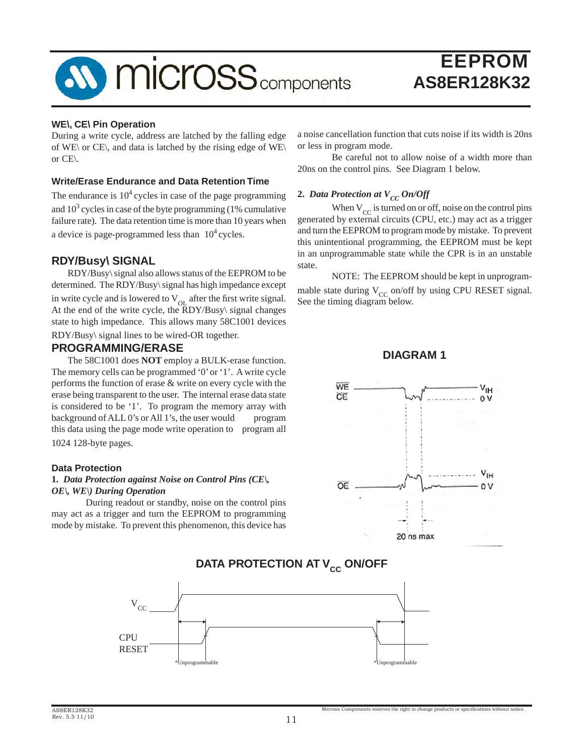

#### **WE\, CE\ Pin Operation**

During a write cycle, address are latched by the falling edge of WE\ or CE\, and data is latched by the rising edge of WE\ or CE\.

#### **Write/Erase Endurance and Data Retention Time**

The endurance is  $10<sup>4</sup>$  cycles in case of the page programming and  $10<sup>3</sup>$  cycles in case of the byte programming (1% cumulative failure rate). The data retention time is more than 10 years when a device is page-programmed less than  $10<sup>4</sup>$  cycles.

### **RDY/Busy\ SIGNAL**

 RDY/Busy\ signal also allows status of the EEPROM to be determined. The RDY/Busy\ signal has high impedance except in write cycle and is lowered to  $V_{\text{OL}}$  after the first write signal. At the end of the write cycle, the  $\overline{R}DY/Busy\$  signal changes state to high impedance. This allows many 58C1001 devices

RDY/Busy\ signal lines to be wired-OR together.

#### **PROGRAMMING/ERASE**

 The 58C1001 does **NOT** employ a BULK-erase function. The memory cells can be programmed '0' or '1'. A write cycle performs the function of erase & write on every cycle with the erase being transparent to the user. The internal erase data state is considered to be '1'. To program the memory array with background of ALL 0's or All 1's, the user would program this data using the page mode write operation to program all 1024 128-byte pages.

#### **Data Protection**

#### **1.** *Data Protection against Noise on Control Pins (CE\, OE\, WE\) During Operation*

 During readout or standby, noise on the control pins may act as a trigger and turn the EEPROM to programming mode by mistake. To prevent this phenomenon, this device has a noise cancellation function that cuts noise if its width is 20ns or less in program mode.

 Be careful not to allow noise of a width more than 20ns on the control pins. See Diagram 1 below.

### **2.** *Data Protection at*  $V_{CC}$  *On/Off*

When  $V_{CC}$  is turned on or off, noise on the control pins generated by external circuits (CPU, etc.) may act as a trigger and turn the EEPROM to program mode by mistake. To prevent this unintentional programming, the EEPROM must be kept in an unprogrammable state while the CPR is in an unstable state.

 NOTE: The EEPROM should be kept in unprogrammable state during  $V_{CC}$  on/off by using CPU RESET signal. See the timing diagram below.

#### **DIAGRAM 1**



# $*$ Unprogr  $\rm V_{CC}$ **CPU** RESET \*Unprogrammable

### **DATA PROTECTION AT V<sub>cc</sub> ON/OFF**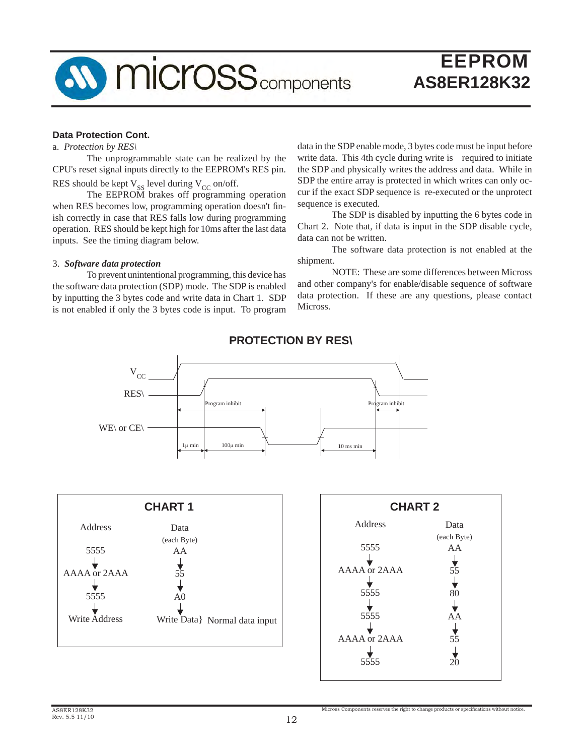

#### **Data Protection Cont.**

a. *Protection by RES\*

The unprogrammable state can be realized by the CPU's reset signal inputs directly to the EEPROM's RES pin. RES should be kept  $V_{SS}$  level during  $V_{CC}$  on/off.

The EEPROM brakes off programming operation when RES becomes low, programming operation doesn't finish correctly in case that RES falls low during programming operation. RES should be kept high for 10ms after the last data inputs. See the timing diagram below.

#### 3. *Software data protection*

To prevent unintentional programming, this device has the software data protection (SDP) mode. The SDP is enabled by inputting the 3 bytes code and write data in Chart 1. SDP is not enabled if only the 3 bytes code is input. To program

data in the SDP enable mode, 3 bytes code must be input before write data. This 4th cycle during write is required to initiate the SDP and physically writes the address and data. While in SDP the entire array is protected in which writes can only occur if the exact SDP sequence is re-executed or the unprotect sequence is executed.

 The SDP is disabled by inputting the 6 bytes code in Chart 2. Note that, if data is input in the SDP disable cycle, data can not be written.

 The software data protection is not enabled at the shipment.

 NOTE: These are some differences between Micross and other company's for enable/disable sequence of software data protection. If these are any questions, please contact Micross.



### **PROTECTION BY RES\**

| <b>CHART1</b>        |                     |                               |  |  |  |
|----------------------|---------------------|-------------------------------|--|--|--|
| Address              | Data<br>(each Byte) |                               |  |  |  |
| 5555                 | AA                  |                               |  |  |  |
| AAAA or 2AAA         | 55                  |                               |  |  |  |
| 5555                 | A <sub>0</sub>      |                               |  |  |  |
| <b>Write Address</b> |                     | Write Data} Normal data input |  |  |  |
|                      |                     |                               |  |  |  |

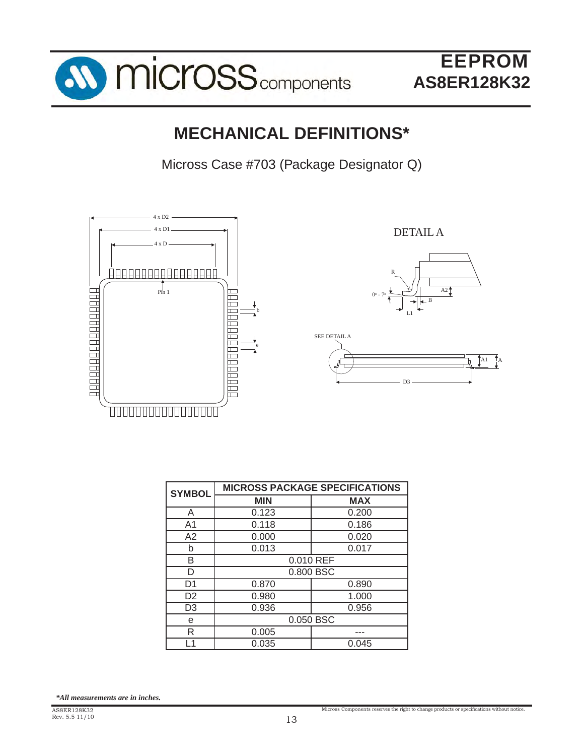

# **MECHANICAL DEFINITIONS\***

Micross Case #703 (Package Designator Q)



| <b>SYMBOL</b>  | <b>MICROSS PACKAGE SPECIFICATIONS</b> |            |  |
|----------------|---------------------------------------|------------|--|
|                | <b>MIN</b>                            | <b>MAX</b> |  |
| A              | 0.123                                 | 0.200      |  |
| A1             | 0.118                                 | 0.186      |  |
| A2             | 0.000                                 | 0.020      |  |
| h              | 0.013                                 | 0.017      |  |
| B              | 0.010 REF                             |            |  |
| D              | 0.800 BSC                             |            |  |
| D1             | 0.870                                 | 0.890      |  |
| D <sub>2</sub> | 0.980                                 | 1.000      |  |
| D <sub>3</sub> | 0.936                                 | 0.956      |  |
| е              | 0.050 BSC                             |            |  |
| R              | 0.005                                 |            |  |
| -1             | 0.035                                 | 0.045      |  |

*\*All measurements are in inches.*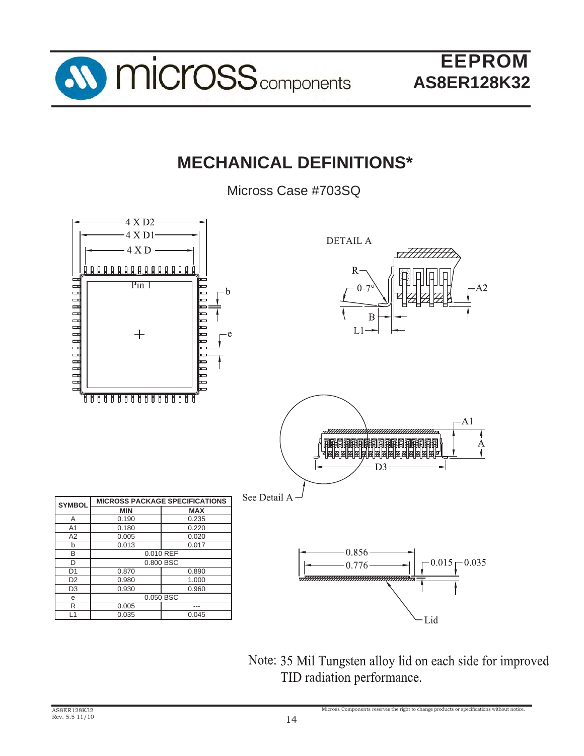

# **MECHANICAL DEFINITIONS\***

Micross Case #703SQ



Note: 35 Mil Tungsten alloy lid on each side for improved TID radiation performance.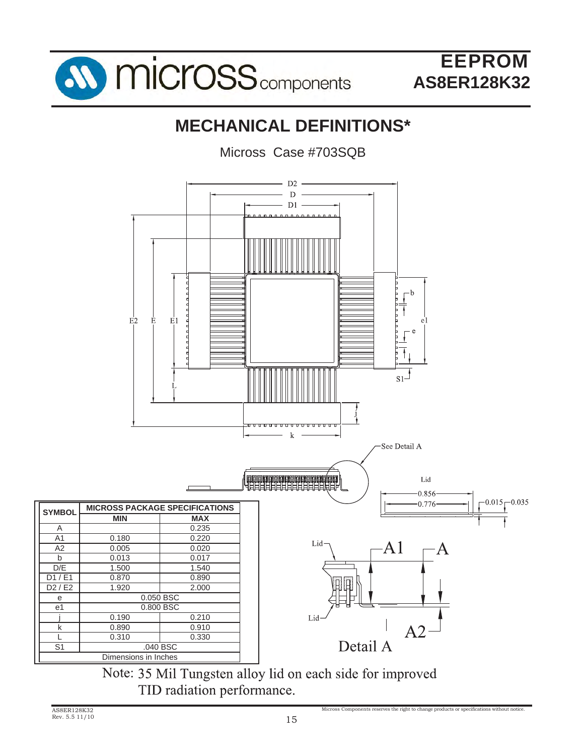

# **MECHANICAL DEFINITIONS\***

Micross Case #703SQB



Note: 35 Mil Tungsten alloy lid on each side for improved TID radiation performance.

e e1

S1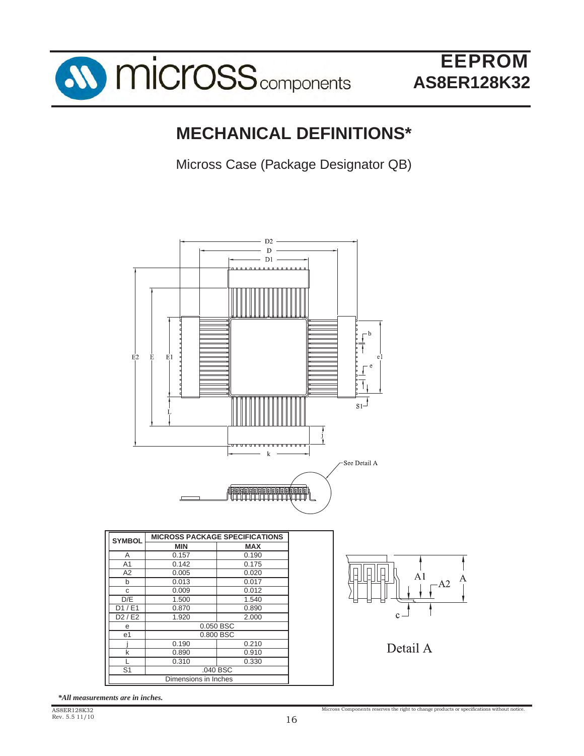

# **MECHANICAL DEFINITIONS\***

Micross Case (Package Designator QB)



*\*All measurements are in inches.*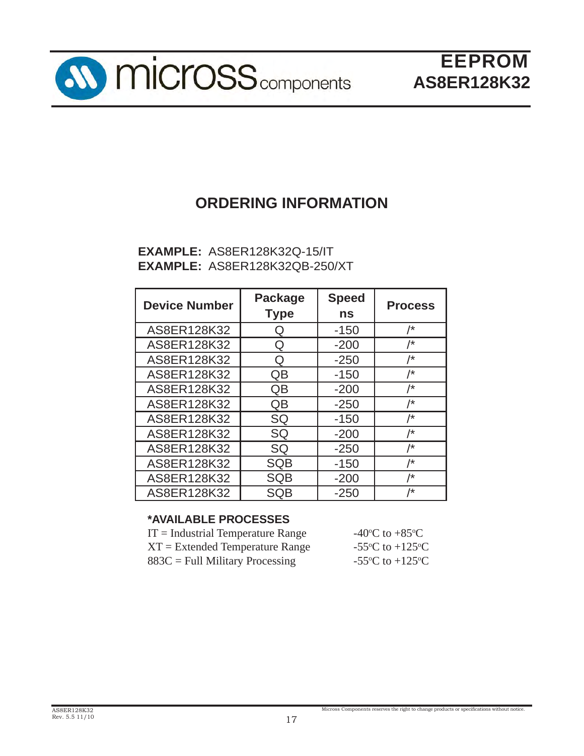

# **ORDERING INFORMATION**

### **EXAMPLE:** AS8ER128K32Q-15/IT **EXAMPLE:** AS8ER128K32QB-250/XT

| <b>Device Number</b> | <b>Package</b><br><b>Type</b> | <b>Speed</b><br>ns | <b>Process</b> |
|----------------------|-------------------------------|--------------------|----------------|
| AS8ER128K32          | Q                             | $-150$             | /*             |
| AS8ER128K32          | Q                             | $-200$             | /*             |
| AS8ER128K32          | Q                             | $-250$             | /*             |
| AS8ER128K32          | QB                            | $-150$             | /*             |
| AS8ER128K32          | QB                            | $-200$             | /*             |
| AS8ER128K32          | QB                            | $-250$             | /*             |
| AS8ER128K32          | SQ                            | $-150$             | /*             |
| AS8ER128K32          | SQ                            | $-200$             | /*             |
| AS8ER128K32          | SQ                            | $-250$             | /*             |
| AS8ER128K32          | <b>SQB</b>                    | $-150$             | /*             |
| AS8ER128K32          | <b>SQB</b>                    | $-200$             | /*             |
| AS8ER128K32          | SQB                           | $-250$             | /*             |

### **\*AVAILABLE PROCESSES**

| -40 <sup>o</sup> C to +85 <sup>o</sup> C      |
|-----------------------------------------------|
| -55 $^{\circ}$ C to +125 $^{\circ}$ C         |
| -55 $\rm{^{\circ}C}$ to +125 $\rm{^{\circ}C}$ |
|                                               |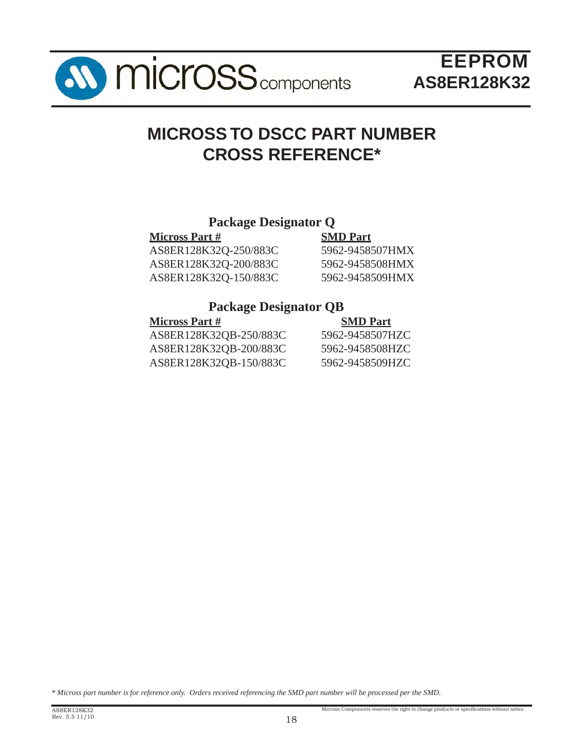

# **MICROSS TO DSCC PART NUMBER CROSS REFERENCE\***

### **Package Designator Q**

| <b>SMD Part</b> |
|-----------------|
| 5962-9458507HMX |
| 5962-9458508HMX |
| 5962-9458509HMX |
|                 |

### **Package Designator QB**

| <b>Micross Part #</b>  | <b>SMD Part</b> |
|------------------------|-----------------|
| AS8ER128K32QB-250/883C | 5962-9458507HZC |
| AS8ER128K32QB-200/883C | 5962-9458508HZC |
| AS8ER128K32QB-150/883C | 5962-9458509HZC |

*\* Micross part number is for reference only. Orders received referencing the SMD part number will be processed per the SMD.*